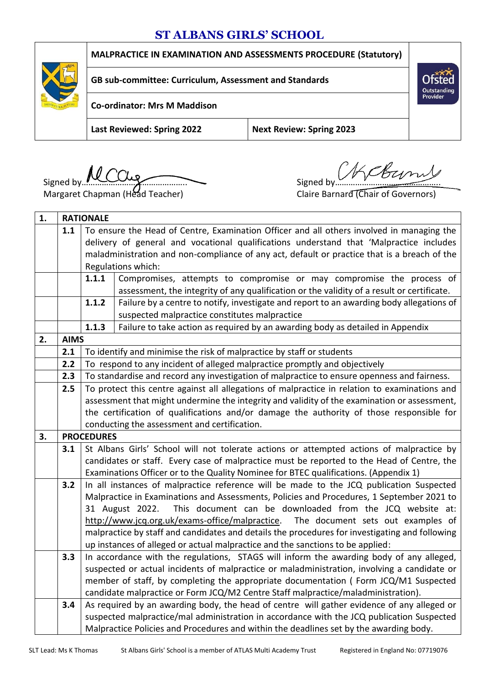# **ST ALBANS GIRLS' SCHOOL**



**MALPRACTICE IN EXAMINATION AND ASSESSMENTS PROCEDURE (Statutory)**

**GB sub-committee: Curriculum, Assessment and Standards**

**Co-ordinator: Mrs M Maddison**

**Last Reviewed: Spring 2022 Next Review: Spring 2023**

Signed by **MCCUs**<br>Margaret Chapman (Head Teacher) Signed by Signed by Signed by Signed By

Margaret Chapman (Head Teacher)

Outstanding<br>Provider

| 1. | <b>RATIONALE</b> |                                                                                               |                                                                                                |  |
|----|------------------|-----------------------------------------------------------------------------------------------|------------------------------------------------------------------------------------------------|--|
|    | 1.1              | To ensure the Head of Centre, Examination Officer and all others involved in managing the     |                                                                                                |  |
|    |                  | delivery of general and vocational qualifications understand that 'Malpractice includes       |                                                                                                |  |
|    |                  | maladministration and non-compliance of any act, default or practice that is a breach of the  |                                                                                                |  |
|    |                  | Regulations which:                                                                            |                                                                                                |  |
|    |                  | 1.1.1                                                                                         | Compromises, attempts to compromise or may compromise the process of                           |  |
|    |                  |                                                                                               | assessment, the integrity of any qualification or the validity of a result or certificate.     |  |
|    |                  | 1.1.2                                                                                         | Failure by a centre to notify, investigate and report to an awarding body allegations of       |  |
|    |                  |                                                                                               | suspected malpractice constitutes malpractice                                                  |  |
|    |                  | 1.1.3                                                                                         | Failure to take action as required by an awarding body as detailed in Appendix                 |  |
| 2. | <b>AIMS</b>      |                                                                                               |                                                                                                |  |
|    | 2.1              | To identify and minimise the risk of malpractice by staff or students                         |                                                                                                |  |
|    | 2.2              | To respond to any incident of alleged malpractice promptly and objectively                    |                                                                                                |  |
|    | 2.3              | To standardise and record any investigation of malpractice to ensure openness and fairness.   |                                                                                                |  |
|    | 2.5              | To protect this centre against all allegations of malpractice in relation to examinations and |                                                                                                |  |
|    |                  |                                                                                               | assessment that might undermine the integrity and validity of the examination or assessment,   |  |
|    |                  |                                                                                               | the certification of qualifications and/or damage the authority of those responsible for       |  |
|    |                  |                                                                                               | conducting the assessment and certification.                                                   |  |
| 3. |                  | <b>PROCEDURES</b>                                                                             |                                                                                                |  |
|    | 3.1              |                                                                                               | St Albans Girls' School will not tolerate actions or attempted actions of malpractice by       |  |
|    |                  | candidates or staff. Every case of malpractice must be reported to the Head of Centre, the    |                                                                                                |  |
|    |                  | Examinations Officer or to the Quality Nominee for BTEC qualifications. (Appendix 1)          |                                                                                                |  |
|    | 3.2              | In all instances of malpractice reference will be made to the JCQ publication Suspected       |                                                                                                |  |
|    |                  | Malpractice in Examinations and Assessments, Policies and Procedures, 1 September 2021 to     |                                                                                                |  |
|    |                  |                                                                                               | 31 August 2022.<br>This document can be downloaded from the JCQ website at:                    |  |
|    |                  |                                                                                               | http://www.jcq.org.uk/exams-office/malpractice. The document sets out examples of              |  |
|    |                  |                                                                                               | malpractice by staff and candidates and details the procedures for investigating and following |  |
|    |                  |                                                                                               | up instances of alleged or actual malpractice and the sanctions to be applied:                 |  |
|    | 3.3              |                                                                                               | In accordance with the regulations, STAGS will inform the awarding body of any alleged,        |  |
|    |                  |                                                                                               | suspected or actual incidents of malpractice or maladministration, involving a candidate or    |  |
|    |                  |                                                                                               | member of staff, by completing the appropriate documentation (Form JCQ/M1 Suspected            |  |
|    |                  |                                                                                               | candidate malpractice or Form JCQ/M2 Centre Staff malpractice/maladministration).              |  |
|    | 3.4              |                                                                                               | As required by an awarding body, the head of centre will gather evidence of any alleged or     |  |
|    |                  |                                                                                               | suspected malpractice/mal administration in accordance with the JCQ publication Suspected      |  |
|    |                  |                                                                                               | Malpractice Policies and Procedures and within the deadlines set by the awarding body.         |  |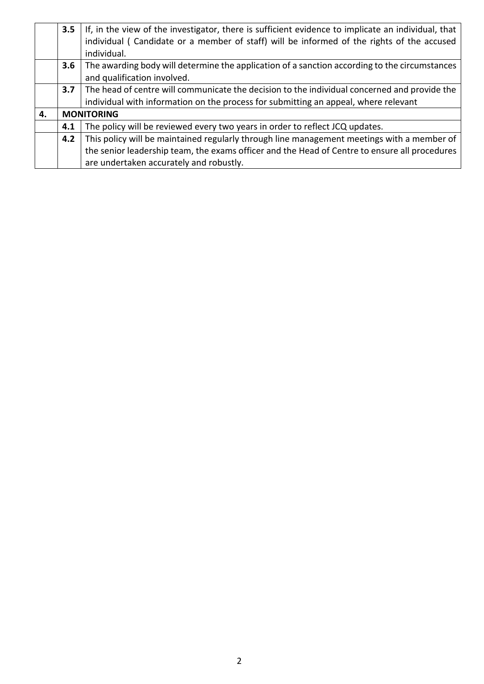|    | 3.5 | If, in the view of the investigator, there is sufficient evidence to implicate an individual, that |  |  |
|----|-----|----------------------------------------------------------------------------------------------------|--|--|
|    |     | individual (Candidate or a member of staff) will be informed of the rights of the accused          |  |  |
|    |     | individual.                                                                                        |  |  |
|    | 3.6 | The awarding body will determine the application of a sanction according to the circumstances      |  |  |
|    |     | and qualification involved.                                                                        |  |  |
|    | 3.7 | The head of centre will communicate the decision to the individual concerned and provide the       |  |  |
|    |     | individual with information on the process for submitting an appeal, where relevant                |  |  |
| 4. |     | <b>MONITORING</b>                                                                                  |  |  |
|    | 4.1 | The policy will be reviewed every two years in order to reflect JCQ updates.                       |  |  |
|    | 4.2 | This policy will be maintained regularly through line management meetings with a member of         |  |  |
|    |     | the senior leadership team, the exams officer and the Head of Centre to ensure all procedures      |  |  |
|    |     | are undertaken accurately and robustly.                                                            |  |  |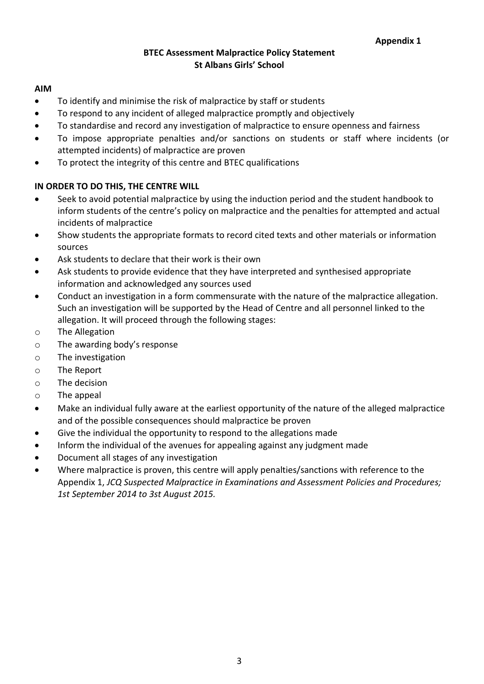## **BTEC Assessment Malpractice Policy Statement St Albans Girls' School**

#### **AIM**

- To identify and minimise the risk of malpractice by staff or students
- To respond to any incident of alleged malpractice promptly and objectively
- To standardise and record any investigation of malpractice to ensure openness and fairness
- To impose appropriate penalties and/or sanctions on students or staff where incidents (or attempted incidents) of malpractice are proven
- To protect the integrity of this centre and BTEC qualifications

# **IN ORDER TO DO THIS, THE CENTRE WILL**

- Seek to avoid potential malpractice by using the induction period and the student handbook to inform students of the centre's policy on malpractice and the penalties for attempted and actual incidents of malpractice
- Show students the appropriate formats to record cited texts and other materials or information sources
- Ask students to declare that their work is their own
- Ask students to provide evidence that they have interpreted and synthesised appropriate information and acknowledged any sources used
- Conduct an investigation in a form commensurate with the nature of the malpractice allegation. Such an investigation will be supported by the Head of Centre and all personnel linked to the allegation. It will proceed through the following stages:
- o The Allegation
- o The awarding body's response
- o The investigation
- o The Report
- o The decision
- o The appeal
- Make an individual fully aware at the earliest opportunity of the nature of the alleged malpractice and of the possible consequences should malpractice be proven
- Give the individual the opportunity to respond to the allegations made
- Inform the individual of the avenues for appealing against any judgment made
- Document all stages of any investigation
- Where malpractice is proven, this centre will apply penalties/sanctions with reference to the Appendix 1, *JCQ Suspected Malpractice in Examinations and Assessment Policies and Procedures; 1st September 2014 to 3st August 2015.*